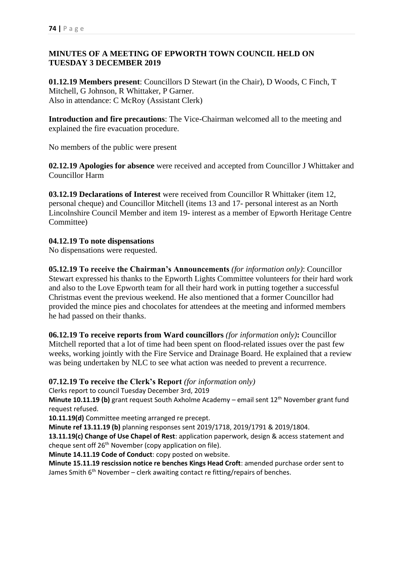# **MINUTES OF A MEETING OF EPWORTH TOWN COUNCIL HELD ON TUESDAY 3 DECEMBER 2019**

**01.12.19 Members present**: Councillors D Stewart (in the Chair), D Woods, C Finch, T Mitchell, G Johnson, R Whittaker, P Garner. Also in attendance: C McRoy (Assistant Clerk)

**Introduction and fire precautions**: The Vice-Chairman welcomed all to the meeting and explained the fire evacuation procedure.

No members of the public were present

**02.12.19 Apologies for absence** were received and accepted from Councillor J Whittaker and Councillor Harm

**03.12.19 Declarations of Interest** were received from Councillor R Whittaker (item 12, personal cheque) and Councillor Mitchell (items 13 and 17- personal interest as an North Lincolnshire Council Member and item 19- interest as a member of Epworth Heritage Centre Committee)

# **04.12.19 To note dispensations**

No dispensations were requested.

**05.12.19 To receive the Chairman's Announcements** *(for information only)*: Councillor Stewart expressed his thanks to the Epworth Lights Committee volunteers for their hard work and also to the Love Epworth team for all their hard work in putting together a successful Christmas event the previous weekend. He also mentioned that a former Councillor had provided the mince pies and chocolates for attendees at the meeting and informed members he had passed on their thanks.

**06.12.19 To receive reports from Ward councillors** *(for information only)***:** Councillor Mitchell reported that a lot of time had been spent on flood-related issues over the past few weeks, working jointly with the Fire Service and Drainage Board. He explained that a review was being undertaken by NLC to see what action was needed to prevent a recurrence.

#### **07.12.19 To receive the Clerk's Report** *(for information only)*

Clerks report to council Tuesday December 3rd, 2019

**Minute 10.11.19 (b)** grant request South Axholme Academy – email sent 12<sup>th</sup> November grant fund request refused.

**10.11.19(d)** Committee meeting arranged re precept.

**Minute ref 13.11.19 (b)** planning responses sent 2019/1718, 2019/1791 & 2019/1804.

**13.11.19(c) Change of Use Chapel of Rest**: application paperwork, design & access statement and cheque sent off 26<sup>th</sup> November (copy application on file).

**Minute 14.11.19 Code of Conduct**: copy posted on website.

**Minute 15.11.19 rescission notice re benches Kings Head Croft**: amended purchase order sent to James Smith  $6<sup>th</sup>$  November – clerk awaiting contact re fitting/repairs of benches.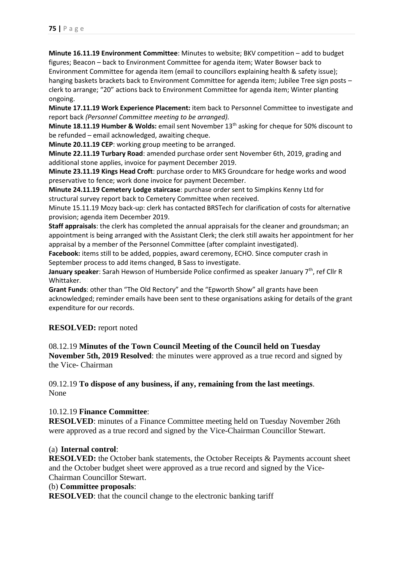**Minute 16.11.19 Environment Committee**: Minutes to website; BKV competition – add to budget figures; Beacon – back to Environment Committee for agenda item; Water Bowser back to Environment Committee for agenda item (email to councillors explaining health & safety issue); hanging baskets brackets back to Environment Committee for agenda item; Jubilee Tree sign posts clerk to arrange; "20" actions back to Environment Committee for agenda item; Winter planting ongoing.

**Minute 17.11.19 Work Experience Placement:** item back to Personnel Committee to investigate and report back *(Personnel Committee meeting to be arranged).*

**Minute 18.11.19 Humber & Wolds:** email sent November 13th asking for cheque for 50% discount to be refunded – email acknowledged, awaiting cheque.

**Minute 20.11.19 CEP**: working group meeting to be arranged.

**Minute 22.11.19 Turbary Road**: amended purchase order sent November 6th, 2019, grading and additional stone applies, invoice for payment December 2019.

**Minute 23.11.19 Kings Head Croft**: purchase order to MKS Groundcare for hedge works and wood preservative to fence; work done invoice for payment December.

**Minute 24.11.19 Cemetery Lodge staircase**: purchase order sent to Simpkins Kenny Ltd for structural survey report back to Cemetery Committee when received.

Minute 15.11.19 Mozy back-up: clerk has contacted BRSTech for clarification of costs for alternative provision; agenda item December 2019.

**Staff appraisals**: the clerk has completed the annual appraisals for the cleaner and groundsman; an appointment is being arranged with the Assistant Clerk; the clerk still awaits her appointment for her appraisal by a member of the Personnel Committee (after complaint investigated).

**Facebook:** items still to be added, poppies, award ceremony, ECHO. Since computer crash in September process to add items changed, B Sass to investigate.

January speaker: Sarah Hewson of Humberside Police confirmed as speaker January 7<sup>th</sup>, ref Cllr R Whittaker.

**Grant Funds**: other than "The Old Rectory" and the "Epworth Show" all grants have been acknowledged; reminder emails have been sent to these organisations asking for details of the grant expenditure for our records.

# **RESOLVED:** report noted

08.12.19 **Minutes of the Town Council Meeting of the Council held on Tuesday November 5th, 2019 Resolved**: the minutes were approved as a true record and signed by the Vice- Chairman

#### 09.12.19 **To dispose of any business, if any, remaining from the last meetings**. None

# 10.12.19 **Finance Committee**:

**RESOLVED**: minutes of a Finance Committee meeting held on Tuesday November 26th were approved as a true record and signed by the Vice-Chairman Councillor Stewart.

#### (a) **Internal control**:

**RESOLVED:** the October bank statements, the October Receipts & Payments account sheet and the October budget sheet were approved as a true record and signed by the Vice-Chairman Councillor Stewart.

#### (b) **Committee proposals**:

**RESOLVED:** that the council change to the electronic banking tariff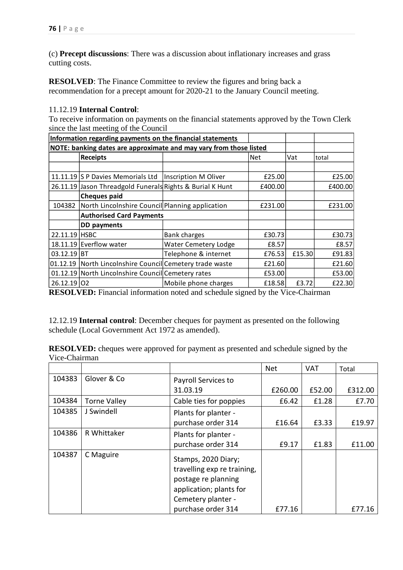(c) **Precept discussions**: There was a discussion about inflationary increases and grass cutting costs.

**RESOLVED:** The Finance Committee to review the figures and bring back a recommendation for a precept amount for 2020-21 to the January Council meeting.

## 11.12.19 **Internal Control**:

To receive information on payments on the financial statements approved by the Town Clerk since the last meeting of the Council

| Information regarding payments on the financial statements         |                                                           |                             |            |        |         |
|--------------------------------------------------------------------|-----------------------------------------------------------|-----------------------------|------------|--------|---------|
| NOTE: banking dates are approximate and may vary from those listed |                                                           |                             |            |        |         |
|                                                                    | <b>Receipts</b>                                           |                             | <b>Net</b> | Vat    | total   |
|                                                                    |                                                           |                             |            |        |         |
|                                                                    | 11.11.19 S P Davies Memorials Ltd                         | Inscription M Oliver        | £25.00     |        | £25.00  |
|                                                                    | 26.11.19 Jason Threadgold Funerals Rights & Burial K Hunt |                             | £400.00    |        | £400.00 |
|                                                                    | <b>Cheques paid</b>                                       |                             |            |        |         |
| 104382                                                             | North Lincolnshire Council Planning application           |                             | £231.00    |        | £231.00 |
|                                                                    | <b>Authorised Card Payments</b>                           |                             |            |        |         |
|                                                                    | DD payments                                               |                             |            |        |         |
| 22.11.19 HSBC                                                      |                                                           | Bank charges                | £30.73     |        | £30.73  |
|                                                                    | 18.11.19 Everflow water                                   | <b>Water Cemetery Lodge</b> | £8.57      |        | £8.57   |
| $03.12.19$ BT                                                      |                                                           | Telephone & internet        | £76.53     | £15.30 | £91.83  |
|                                                                    | 01.12.19 North Lincolnshire Council Cemetery trade waste  |                             | £21.60     |        | £21.60  |
|                                                                    | 01.12.19 North Lincolnshire Council Cemetery rates        |                             | £53.00     |        | £53.00  |
| 26.12.19 02                                                        |                                                           | Mobile phone charges        | £18.58     | £3.72  | £22.30  |

**RESOLVED:** Financial information noted and schedule signed by the Vice-Chairman

12.12.19 **Internal control**: December cheques for payment as presented on the following schedule (Local Government Act 1972 as amended).

**RESOLVED:** cheques were approved for payment as presented and schedule signed by the Vice-Chairman

|        |                     |                                                                                                                                                  | <b>Net</b> | <b>VAT</b> | Total   |
|--------|---------------------|--------------------------------------------------------------------------------------------------------------------------------------------------|------------|------------|---------|
| 104383 | Glover & Co         | Payroll Services to                                                                                                                              |            |            |         |
|        |                     | 31.03.19                                                                                                                                         | £260.00    | £52.00     | £312.00 |
| 104384 | <b>Torne Valley</b> | Cable ties for poppies                                                                                                                           | £6.42      | £1.28      | £7.70   |
| 104385 | J Swindell          | Plants for planter -<br>purchase order 314                                                                                                       | £16.64     | £3.33      | £19.97  |
| 104386 | R Whittaker         | Plants for planter -<br>purchase order 314                                                                                                       | £9.17      | £1.83      | £11.00  |
| 104387 | C Maguire           | Stamps, 2020 Diary;<br>travelling exp re training,<br>postage re planning<br>application; plants for<br>Cemetery planter -<br>purchase order 314 | £77.16     |            | £77.16  |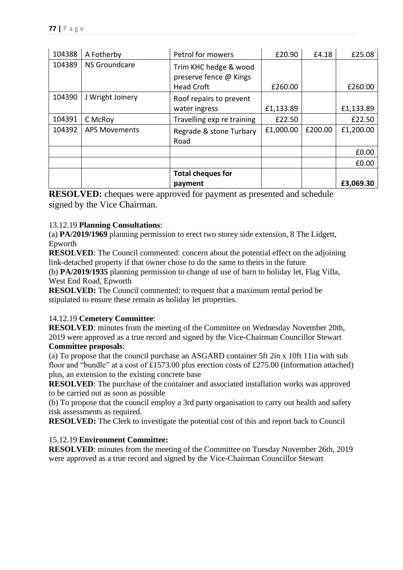| 104388 | A Fotherby           | Petrol for mowers                               | £20.90    | £4.18   | £25.08    |
|--------|----------------------|-------------------------------------------------|-----------|---------|-----------|
| 104389 | <b>NS Groundcare</b> | Trim KHC hedge & wood<br>preserve fence @ Kings |           |         |           |
|        |                      | <b>Head Croft</b>                               | £260.00   |         | £260.00   |
| 104390 | J Wright Joinery     | Roof repairs to prevent                         |           |         |           |
|        |                      | water ingress                                   | £1,133.89 |         | £1,133.89 |
| 104391 | C McRoy              | Travelling exp re training                      | £22.50    |         | £22.50    |
| 104392 | <b>APS Movements</b> | Regrade & stone Turbary<br>Road                 | £1,000.00 | £200.00 | £1,200.00 |
|        |                      |                                                 |           |         | £0.00     |
|        |                      |                                                 |           |         | £0.00     |
|        |                      | <b>Total cheques for</b>                        |           |         |           |
|        |                      | payment                                         |           |         | £3,069.30 |

**RESOLVED:** cheques were approved for payment as presented and schedule signed by the Vice Chairman.

# 13.12.19 **Planning Consultations**:

(a) **PA/2019/1969** planning permission to erect two storey side extension, 8 The Lidgett, Epworth

**RESOLVED**: The Council commented: concern about the potential effect on the adjoining link-detached property if that owner chose to do the same to theirs in the future

(b) **PA/2019/1935** planning permission to change of use of barn to holiday let, Flag Villa, West End Road, Epworth

**RESOLVED:** The Council commented: to request that a maximum rental period be stipulated to ensure these remain as holiday let properties.

# 14.12.19 **Cemetery Committee**:

**RESOLVED**: minutes from the meeting of the Committee on Wednesday November 20th, 2019 were approved as a true record and signed by the Vice-Chairman Councillor Stewart **Committee proposals**:

(a) To propose that the council purchase an ASGARD container 5ft 2in x 10ft 11in with sub floor and "bundle" at a cost of £1573.00 plus erection costs of £275.00 (information attached) plus, an extension to the existing concrete base

**RESOLVED**: The purchase of the container and associated installation works was approved to be carried out as soon as possible

(b) To propose that the council employ a 3rd party organisation to carry out health and safety risk assessments as required.

**RESOLVED:** The Clerk to investigate the potential cost of this and report back to Council

# 15.12.19 **Environment Committee:**

**RESOLVED**: minutes from the meeting of the Committee on Tuesday November 26th, 2019 were approved as a true record and signed by the Vice-Chairman Councillor Stewart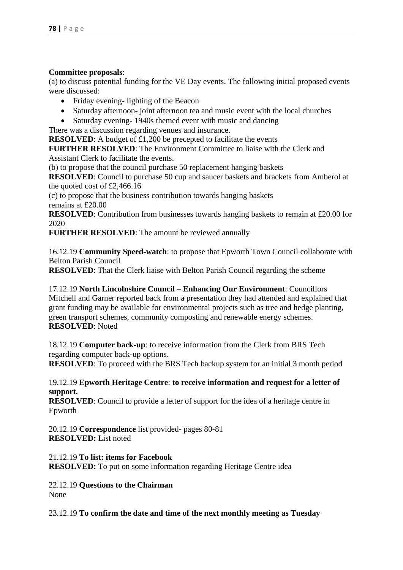## **Committee proposals**:

(a) to discuss potential funding for the VE Day events. The following initial proposed events were discussed:

- Friday evening-lighting of the Beacon
- Saturday afternoon- joint afternoon tea and music event with the local churches
- Saturday evening-1940s themed event with music and dancing

There was a discussion regarding venues and insurance.

**RESOLVED**: A budget of £1,200 be precepted to facilitate the events

**FURTHER RESOLVED**: The Environment Committee to liaise with the Clerk and Assistant Clerk to facilitate the events.

(b) to propose that the council purchase 50 replacement hanging baskets

**RESOLVED**: Council to purchase 50 cup and saucer baskets and brackets from Amberol at the quoted cost of £2,466.16

(c) to propose that the business contribution towards hanging baskets remains at £20.00

**RESOLVED**: Contribution from businesses towards hanging baskets to remain at £20.00 for 2020

**FURTHER RESOLVED**: The amount be reviewed annually

16.12.19 **Community Speed-watch**: to propose that Epworth Town Council collaborate with Belton Parish Council

**RESOLVED**: That the Clerk liaise with Belton Parish Council regarding the scheme

17.12.19 **North Lincolnshire Council – Enhancing Our Environment**: Councillors Mitchell and Garner reported back from a presentation they had attended and explained that grant funding may be available for environmental projects such as tree and hedge planting, green transport schemes, community composting and renewable energy schemes. **RESOLVED**: Noted

18.12.19 **Computer back-up**: to receive information from the Clerk from BRS Tech regarding computer back-up options.

**RESOLVED**: To proceed with the BRS Tech backup system for an initial 3 month period

## 19.12.19 **Epworth Heritage Centre**: **to receive information and request for a letter of support.**

**RESOLVED**: Council to provide a letter of support for the idea of a heritage centre in Epworth

20.12.19 **Correspondence** list provided- pages 80-81 **RESOLVED:** List noted

21.12.19 **To list: items for Facebook RESOLVED:** To put on some information regarding Heritage Centre idea

22.12.19 **Questions to the Chairman** None

23.12.19 **To confirm the date and time of the next monthly meeting as Tuesday**